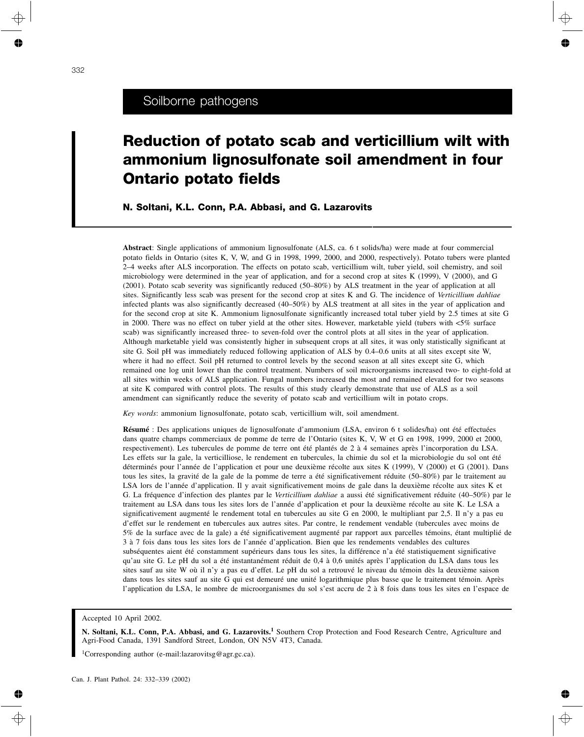# **Reduction of potato scab and verticillium wilt with ammonium lignosulfonate soil amendment in four Ontario potato fields**

**N. Soltani, K.L. Conn, P.A. Abbasi, and G. Lazarovits**

**Abstract**: Single applications of ammonium lignosulfonate (ALS, ca. 6 t solids/ha) were made at four commercial potato fields in Ontario (sites K, V, W, and G in 1998, 1999, 2000, and 2000, respectively). Potato tubers were planted 2–4 weeks after ALS incorporation. The effects on potato scab, verticillium wilt, tuber yield, soil chemistry, and soil microbiology were determined in the year of application, and for a second crop at sites K (1999), V (2000), and G (2001). Potato scab severity was significantly reduced (50–80%) by ALS treatment in the year of application at all sites. Significantly less scab was present for the second crop at sites K and G. The incidence of *Verticillium dahliae* infected plants was also significantly decreased (40–50%) by ALS treatment at all sites in the year of application and for the second crop at site K. Ammonium lignosulfonate significantly increased total tuber yield by 2.5 times at site G in 2000. There was no effect on tuber yield at the other sites. However, marketable yield (tubers with  $<5\%$  surface scab) was significantly increased three- to seven-fold over the control plots at all sites in the year of application. Although marketable yield was consistently higher in subsequent crops at all sites, it was only statistically significant at site G. Soil pH was immediately reduced following application of ALS by 0.4–0.6 units at all sites except site W, where it had no effect. Soil pH returned to control levels by the second season at all sites except site G, which remained one log unit lower than the control treatment. Numbers of soil microorganisms increased two- to eight-fold at all sites within weeks of ALS application. Fungal numbers increased the most and remained elevated for two seasons at site K compared with control plots. The results of this study clearly demonstrate that use of ALS as a soil amendment can significantly reduce the severity of potato scab and verticillium wilt in potato crops.

*Key words*: ammonium lignosulfonate, potato scab, verticillium wilt, soil amendment.

Résumé : Des applications uniques de lignosulfonate d'ammonium (LSA, environ 6 t solides/ha) ont été effectuées dans quatre champs commerciaux de pomme de terre de l'Ontario (sites K, V, W et G en 1998, 1999, 2000 et 2000, respectivement). Les tubercules de pomme de terre ont été plantés de 2 à 4 semaines après l'incorporation du LSA. Les effets sur la gale, la verticilliose, le rendement en tubercules, la chimie du sol et la microbiologie du sol ont été déterminés pour l'année de l'application et pour une deuxième récolte aux sites K (1999), V (2000) et G (2001). Dans tous les sites, la gravité de la gale de la pomme de terre a été significativement réduite (50–80%) par le traitement au LSA lors de l'année d'application. Il y avait significativement moins de gale dans la deuxième récolte aux sites K et G. La fréquence d'infection des plantes par le *Verticillium dahliae* a aussi été significativement réduite (40–50%) par le traitement au LSA dans tous les sites lors de l'année d'application et pour la deuxième récolte au site K. Le LSA a significativement augmenté le rendement total en tubercules au site G en 2000, le multipliant par 2,5. Il n'y a pas eu d'effet sur le rendement en tubercules aux autres sites. Par contre, le rendement vendable (tubercules avec moins de 5% de la surface avec de la gale) a été significativement augmenté par rapport aux parcelles témoins, étant multiplié de 3 à 7 fois dans tous les sites lors de l'année d'application. Bien que les rendements vendables des cultures subséquentes aient été constamment supérieurs dans tous les sites, la différence n'a été statistiquement significative qu'au site G. Le pH du sol a été instantanément réduit de 0,4 à 0,6 unités après l'application du LSA dans tous les sites sauf au site W où il n'y a pas eu d'effet. Le pH du sol a retrouvé le niveau du témoin dès la deuxième saison dans tous les sites sauf au site G qui est demeuré une unité logarithmique plus basse que le traitement témoin. Après l'application du LSA, le nombre de microorganismes du sol s'est accru de 2 à 8 fois dans tous les sites en l'espace de

Accepted 10 April 2002.

**N. Soltani, K.L. Conn, P.A. Abbasi, and G. Lazarovits.<sup>1</sup>** Southern Crop Protection and Food Research Centre, Agriculture and Agri-Food Canada, 1391 Sandford Street, London, ON N5V 4T3, Canada.

1 Corresponding author (e-mail:lazarovitsg@agr.gc.ca).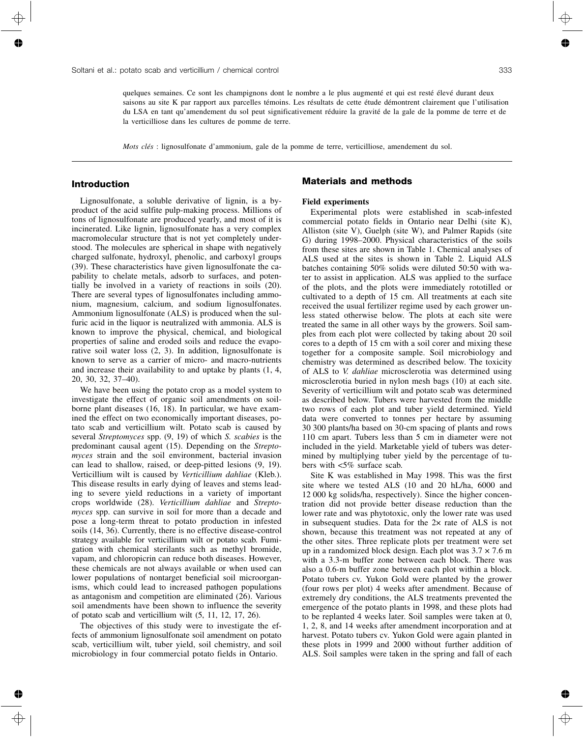quelques semaines. Ce sont les champignons dont le nombre a le plus augmenté et qui est resté élevé durant deux saisons au site K par rapport aux parcelles témoins. Les résultats de cette étude démontrent clairement que l'utilisation du LSA en tant qu'amendement du sol peut significativement réduire la gravité de la gale de la pomme de terre et de la verticilliose dans les cultures de pomme de terre.

*Mots clés* : lignosulfonate d'ammonium, gale de la pomme de terre, verticilliose, amendement du sol.

# **Introduction**

Lignosulfonate, a soluble derivative of lignin, is a byproduct of the acid sulfite pulp-making process. Millions of tons of lignosulfonate are produced yearly, and most of it is incinerated. Like lignin, lignosulfonate has a very complex macromolecular structure that is not yet completely understood. The molecules are spherical in shape with negatively charged sulfonate, hydroxyl, phenolic, and carboxyl groups (39). These characteristics have given lignosulfonate the capability to chelate metals, adsorb to surfaces, and potentially be involved in a variety of reactions in soils (20). There are several types of lignosulfonates including ammonium, magnesium, calcium, and sodium lignosulfonates. Ammonium lignosulfonate (ALS) is produced when the sulfuric acid in the liquor is neutralized with ammonia. ALS is known to improve the physical, chemical, and biological properties of saline and eroded soils and reduce the evaporative soil water loss (2, 3). In addition, lignosulfonate is known to serve as a carrier of micro- and macro-nutrients and increase their availability to and uptake by plants (1, 4, 20, 30, 32, 37–40).

We have been using the potato crop as a model system to investigate the effect of organic soil amendments on soilborne plant diseases (16, 18). In particular, we have examined the effect on two economically important diseases, potato scab and verticillium wilt. Potato scab is caused by several *Streptomyces* spp. (9, 19) of which *S. scabies* is the predominant causal agent (15). Depending on the *Streptomyces* strain and the soil environment, bacterial invasion can lead to shallow, raised, or deep-pitted lesions (9, 19). Verticillium wilt is caused by *Verticillium dahliae* (Kleb.). This disease results in early dying of leaves and stems leading to severe yield reductions in a variety of important crops worldwide (28). *Verticillium dahliae* and *Streptomyces* spp. can survive in soil for more than a decade and pose a long-term threat to potato production in infested soils (14, 36). Currently, there is no effective disease-control strategy available for verticillium wilt or potato scab. Fumigation with chemical sterilants such as methyl bromide, vapam, and chloropicrin can reduce both diseases. However, these chemicals are not always available or when used can lower populations of nontarget beneficial soil microorganisms, which could lead to increased pathogen populations as antagonism and competition are eliminated (26). Various soil amendments have been shown to influence the severity of potato scab and verticillium wilt (5, 11, 12, 17, 26).

The objectives of this study were to investigate the effects of ammonium lignosulfonate soil amendment on potato scab, verticillium wilt, tuber yield, soil chemistry, and soil microbiology in four commercial potato fields in Ontario.

# **Materials and methods**

## **Field experiments**

Experimental plots were established in scab-infested commercial potato fields in Ontario near Delhi (site K), Alliston (site V), Guelph (site W), and Palmer Rapids (site G) during 1998–2000. Physical characteristics of the soils from these sites are shown in Table 1. Chemical analyses of ALS used at the sites is shown in Table 2. Liquid ALS batches containing 50% solids were diluted 50:50 with water to assist in application. ALS was applied to the surface of the plots, and the plots were immediately rototilled or cultivated to a depth of 15 cm. All treatments at each site received the usual fertilizer regime used by each grower unless stated otherwise below. The plots at each site were treated the same in all other ways by the growers. Soil samples from each plot were collected by taking about 20 soil cores to a depth of 15 cm with a soil corer and mixing these together for a composite sample. Soil microbiology and chemistry was determined as described below. The toxicity of ALS to *V. dahliae* microsclerotia was determined using microsclerotia buried in nylon mesh bags (10) at each site. Severity of verticillium wilt and potato scab was determined as described below. Tubers were harvested from the middle two rows of each plot and tuber yield determined. Yield data were converted to tonnes per hectare by assuming 30 300 plants/ha based on 30-cm spacing of plants and rows 110 cm apart. Tubers less than 5 cm in diameter were not included in the yield. Marketable yield of tubers was determined by multiplying tuber yield by the percentage of tubers with <5% surface scab.

Site K was established in May 1998. This was the first site where we tested ALS (10 and 20 hL/ha, 6000 and 12 000 kg solids/ha, respectively). Since the higher concentration did not provide better disease reduction than the lower rate and was phytotoxic, only the lower rate was used in subsequent studies. Data for the 2× rate of ALS is not shown, because this treatment was not repeated at any of the other sites. Three replicate plots per treatment were set up in a randomized block design. Each plot was  $3.7 \times 7.6$  m with a 3.3-m buffer zone between each block. There was also a 0.6-m buffer zone between each plot within a block. Potato tubers cv. Yukon Gold were planted by the grower (four rows per plot) 4 weeks after amendment. Because of extremely dry conditions, the ALS treatments prevented the emergence of the potato plants in 1998, and these plots had to be replanted 4 weeks later. Soil samples were taken at 0, 1, 2, 8, and 14 weeks after amendment incorporation and at harvest. Potato tubers cv. Yukon Gold were again planted in these plots in 1999 and 2000 without further addition of ALS. Soil samples were taken in the spring and fall of each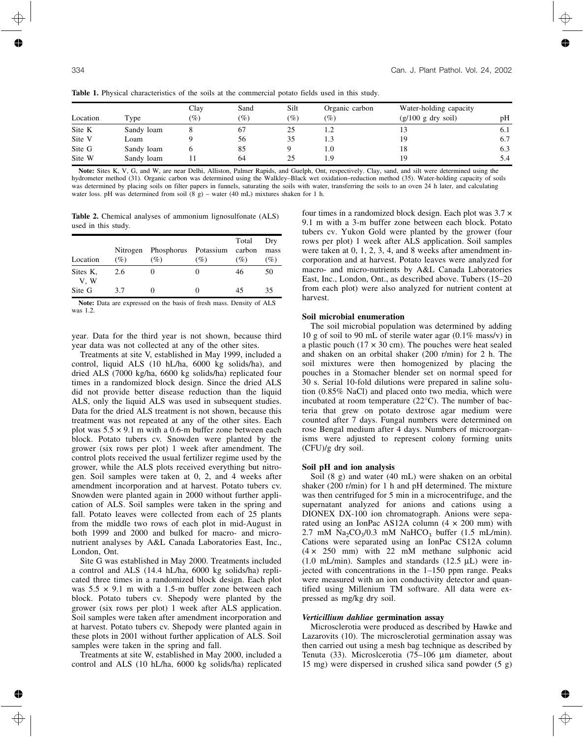| Location | Type       | Clay<br>(%) | Sand<br>$(\%)$ | Silt<br>$(\%)$ | Organic carbon<br>$(\%)$ | Water-holding capacity<br>$(g/100 g$ dry soil) | pH  |
|----------|------------|-------------|----------------|----------------|--------------------------|------------------------------------------------|-----|
| Site K   | Sandy loam |             | 67             | 25             | 1.2                      |                                                | 6.1 |
| Site V   | Loam       |             | 56             | 35             | 1.3                      | 19                                             | 6.7 |
| Site G   | Sandy loam |             | 85             |                | 1.0                      | 18                                             | 6.3 |
| Site W   | Sandy loam |             | 64             |                | <u>i</u> .9              | 19                                             | 5.4 |

**Table 1.** Physical characteristics of the soils at the commercial potato fields used in this study.

**Note:** Sites K, V, G, and W, are near Delhi, Alliston, Palmer Rapids, and Guelph, Ont, respectively. Clay, sand, and silt were determined using the hydrometer method (31). Organic carbon was determined using the Walkley–Black wet oxidation–reduction method (35). Water-holding capacity of soils was determined by placing soils on filter papers in funnels, saturating the soils with water, transferring the soils to an oven 24 h later, and calculating water loss. pH was determined from soil (8 g) – water (40 mL) mixtures shaken for 1 h.

**Table 2.** Chemical analyses of ammonium lignosulfonate (ALS) used in this study.

| Location        | Nitrogen<br>(%) | Phosphorus<br>(%) | Potassium carbon<br>(%) | Total<br>(%) | Drv<br>mass<br>$\left( \% \right)$ |
|-----------------|-----------------|-------------------|-------------------------|--------------|------------------------------------|
| Sites K.<br>V.W | 2.6             |                   |                         | 46           | 50                                 |
| Site G          | 37              |                   |                         | 45           | 35                                 |

**Note:** Data are expressed on the basis of fresh mass. Density of ALS was 1.2.

year. Data for the third year is not shown, because third year data was not collected at any of the other sites.

Treatments at site V, established in May 1999, included a control, liquid ALS (10 hL/ha, 6000 kg solids/ha), and dried ALS (7000 kg/ha, 6600 kg solids/ha) replicated four times in a randomized block design. Since the dried ALS did not provide better disease reduction than the liquid ALS, only the liquid ALS was used in subsequent studies. Data for the dried ALS treatment is not shown, because this treatment was not repeated at any of the other sites. Each plot was  $5.5 \times 9.1$  m with a 0.6-m buffer zone between each block. Potato tubers cv. Snowden were planted by the grower (six rows per plot) 1 week after amendment. The control plots received the usual fertilizer regime used by the grower, while the ALS plots received everything but nitrogen. Soil samples were taken at 0, 2, and 4 weeks after amendment incorporation and at harvest. Potato tubers cv. Snowden were planted again in 2000 without further application of ALS. Soil samples were taken in the spring and fall. Potato leaves were collected from each of 25 plants from the middle two rows of each plot in mid-August in both 1999 and 2000 and bulked for macro- and micronutrient analyses by A&L Canada Laboratories East, Inc., London, Ont.

Site G was established in May 2000. Treatments included a control and ALS (14.4 hL/ha, 6000 kg solids/ha) replicated three times in a randomized block design. Each plot was  $5.5 \times 9.1$  m with a 1.5-m buffer zone between each block. Potato tubers cv. Shepody were planted by the grower (six rows per plot) 1 week after ALS application. Soil samples were taken after amendment incorporation and at harvest. Potato tubers cv. Shepody were planted again in these plots in 2001 without further application of ALS. Soil samples were taken in the spring and fall.

Treatments at site W, established in May 2000, included a control and ALS (10 hL/ha, 6000 kg solids/ha) replicated

four times in a randomized block design. Each plot was  $3.7 \times$ 9.1 m with a 3-m buffer zone between each block. Potato tubers cv. Yukon Gold were planted by the grower (four rows per plot) 1 week after ALS application. Soil samples were taken at 0, 1, 2, 3, 4, and 8 weeks after amendment incorporation and at harvest. Potato leaves were analyzed for macro- and micro-nutrients by A&L Canada Laboratories East, Inc., London, Ont., as described above. Tubers (15–20 from each plot) were also analyzed for nutrient content at harvest.

## **Soil microbial enumeration**

The soil microbial population was determined by adding 10 g of soil to 90 mL of sterile water agar (0.1% mass/v) in a plastic pouch  $(17 \times 30 \text{ cm})$ . The pouches were heat sealed and shaken on an orbital shaker (200 r/min) for 2 h. The soil mixtures were then homogenized by placing the pouches in a Stomacher blender set on normal speed for 30 s. Serial 10-fold dilutions were prepared in saline solution (0.85% NaCl) and placed onto two media, which were incubated at room temperature (22°C). The number of bacteria that grew on potato dextrose agar medium were counted after 7 days. Fungal numbers were determined on rose Bengal medium after 4 days. Numbers of microorganisms were adjusted to represent colony forming units (CFU)/g dry soil.

## **Soil pH and ion analysis**

Soil (8 g) and water (40 mL) were shaken on an orbital shaker (200 r/min) for 1 h and pH determined. The mixture was then centrifuged for 5 min in a microcentrifuge, and the supernatant analyzed for anions and cations using a DIONEX DX-100 ion chromatograph. Anions were separated using an IonPac AS12A column  $(4 \times 200 \text{ mm})$  with 2.7 mM  $\text{Na}_2\text{CO}_3/0.3$  mM  $\text{NaHCO}_3$  buffer (1.5 mL/min). Cations were separated using an IonPac CS12A column (4 × 250 mm) with 22 mM methane sulphonic acid (1.0 mL/min). Samples and standards (12.5  $\mu$ L) were injected with concentrations in the 1–150 ppm range. Peaks were measured with an ion conductivity detector and quantified using Millenium TM software. All data were expressed as mg/kg dry soil.

#### *Verticillium dahliae* **germination assay**

Microsclerotia were produced as described by Hawke and Lazarovits (10). The microsclerotial germination assay was then carried out using a mesh bag technique as described by Tenuta (33). Microslcerotia (75–106 µm diameter, about 15 mg) were dispersed in crushed silica sand powder (5 g)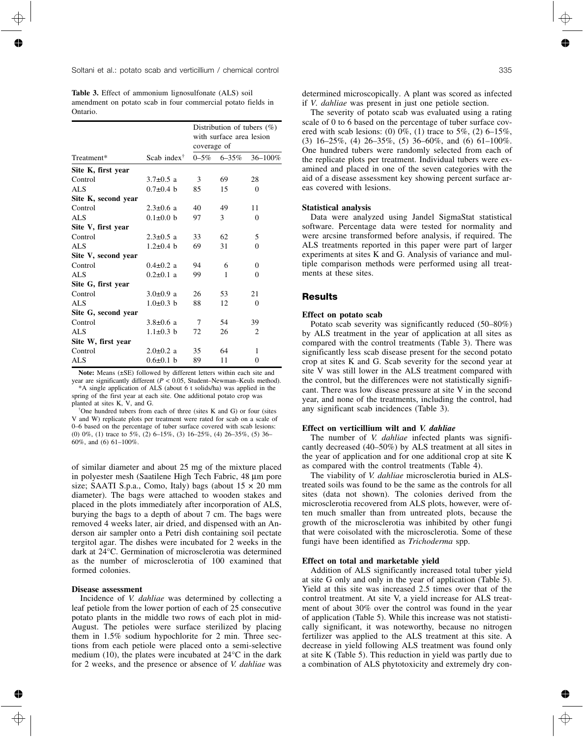**Table 3.** Effect of ammonium lignosulfonate (ALS) soil amendment on potato scab in four commercial potato fields in Ontario.

|                     |                         | Distribution of tubers $(\%)$<br>with surface area lesion<br>coverage of |            |          |
|---------------------|-------------------------|--------------------------------------------------------------------------|------------|----------|
| Treatment*          | Scab index $^{\dagger}$ | $0 - 5\%$                                                                | $6 - 35\%$ | 36-100%  |
| Site K, first year  |                         |                                                                          |            |          |
| Control             | $3.7 \pm 0.5$ a         | 3                                                                        | 69         | 28       |
| ALS                 | $0.7 \pm 0.4$ b         | 85                                                                       | 15         | $\Omega$ |
| Site K, second year |                         |                                                                          |            |          |
| Control             | $2.3 \pm 0.6$ a         | 40                                                                       | 49         | 11       |
| ALS                 | $0.1 \pm 0.0$ b         | 97                                                                       | 3          | $\theta$ |
| Site V, first year  |                         |                                                                          |            |          |
| Control             | $2.3 \pm 0.5$ a         | 33                                                                       | 62         | 5        |
| ALS.                | $1.2 \pm 0.4$ h         | 69                                                                       | 31         | $\Omega$ |
| Site V, second year |                         |                                                                          |            |          |
| Control             | $0.4 \pm 0.2$ a         | 94                                                                       | 6          | $\Omega$ |
| <b>ALS</b>          | $0.2 \pm 0.1$ a         | 99                                                                       | 1          | 0        |
| Site G, first year  |                         |                                                                          |            |          |
| Control             | $3.0 \pm 0.9$ a         | 26                                                                       | 53         | 21       |
| ALS.                | $1.0\pm0.3$ b           | 88                                                                       | 12         | $\Omega$ |
| Site G, second year |                         |                                                                          |            |          |
| Control             | $3.8 \pm 0.6$ a         | 7                                                                        | 54         | 39       |
| ALS.                | $1.1 \pm 0.3$ b         | 72                                                                       | 26         | 2        |
| Site W, first year  |                         |                                                                          |            |          |
| Control             | $2.0 \pm 0.2$ a         | 35                                                                       | 64         | 1        |
| ALS                 | $0.6 \pm 0.1$ b         | 89                                                                       | 11         | 0        |

**Note:** Means (±SE) followed by different letters within each site and year are significantly different (*P* < 0.05, Student–Newman–Keuls method). \*A single application of ALS (about 6 t solids/ha) was applied in the spring of the first year at each site. One additional potato crop was planted at sites  $K$ ,  $V$ , and  $G$ .

One hundred tubers from each of three (sites K and G) or four (sites V and W) replicate plots per treatment were rated for scab on a scale of 0–6 based on the percentage of tuber surface covered with scab lesions: (0) 0%, (1) trace to 5%, (2) 6–15%, (3) 16–25%, (4) 26–35%, (5) 36– 60%, and (6) 61–100%.

of similar diameter and about 25 mg of the mixture placed in polyester mesh (Saatilene High Tech Fabric, 48 µm pore size; SAATI S.p.a., Como, Italy) bags (about  $15 \times 20$  mm diameter). The bags were attached to wooden stakes and placed in the plots immediately after incorporation of ALS, burying the bags to a depth of about 7 cm. The bags were removed 4 weeks later, air dried, and dispensed with an Anderson air sampler onto a Petri dish containing soil pectate tergitol agar. The dishes were incubated for 2 weeks in the dark at 24°C. Germination of microsclerotia was determined as the number of microsclerotia of 100 examined that formed colonies.

#### **Disease assessment**

Incidence of *V. dahliae* was determined by collecting a leaf petiole from the lower portion of each of 25 consecutive potato plants in the middle two rows of each plot in mid-August. The petioles were surface sterilized by placing them in 1.5% sodium hypochlorite for 2 min. Three sections from each petiole were placed onto a semi-selective medium (10), the plates were incubated at 24°C in the dark for 2 weeks, and the presence or absence of *V. dahliae* was

determined microscopically. A plant was scored as infected if *V. dahliae* was present in just one petiole section.

The severity of potato scab was evaluated using a rating scale of 0 to 6 based on the percentage of tuber surface covered with scab lesions: (0)  $0\%$ , (1) trace to 5%, (2) 6–15%, (3)  $16-25\%$ , (4)  $26-35\%$ , (5)  $36-60\%$ , and (6)  $61-100\%$ . One hundred tubers were randomly selected from each of the replicate plots per treatment. Individual tubers were examined and placed in one of the seven categories with the aid of a disease assessment key showing percent surface areas covered with lesions.

#### **Statistical analysis**

Data were analyzed using Jandel SigmaStat statistical software. Percentage data were tested for normality and were arcsine transformed before analysis, if required. The ALS treatments reported in this paper were part of larger experiments at sites K and G. Analysis of variance and multiple comparison methods were performed using all treatments at these sites.

# **Results**

#### **Effect on potato scab**

Potato scab severity was significantly reduced (50–80%) by ALS treatment in the year of application at all sites as compared with the control treatments (Table 3). There was significantly less scab disease present for the second potato crop at sites K and G. Scab severity for the second year at site V was still lower in the ALS treatment compared with the control, but the differences were not statistically significant. There was low disease pressure at site V in the second year, and none of the treatments, including the control, had any significant scab incidences (Table 3).

#### **Effect on verticillium wilt and** *V. dahliae*

The number of *V. dahliae* infected plants was significantly decreased (40–50%) by ALS treatment at all sites in the year of application and for one additional crop at site K as compared with the control treatments (Table 4).

The viability of *V. dahliae* microsclerotia buried in ALStreated soils was found to be the same as the controls for all sites (data not shown). The colonies derived from the microsclerotia recovered from ALS plots, however, were often much smaller than from untreated plots, because the growth of the microsclerotia was inhibited by other fungi that were coisolated with the microsclerotia. Some of these fungi have been identified as *Trichoderma* spp.

### **Effect on total and marketable yield**

Addition of ALS significantly increased total tuber yield at site G only and only in the year of application (Table 5). Yield at this site was increased 2.5 times over that of the control treatment. At site V, a yield increase for ALS treatment of about 30% over the control was found in the year of application (Table 5). While this increase was not statistically significant, it was noteworthy, because no nitrogen fertilizer was applied to the ALS treatment at this site. A decrease in yield following ALS treatment was found only at site K (Table 5). This reduction in yield was partly due to a combination of ALS phytotoxicity and extremely dry con-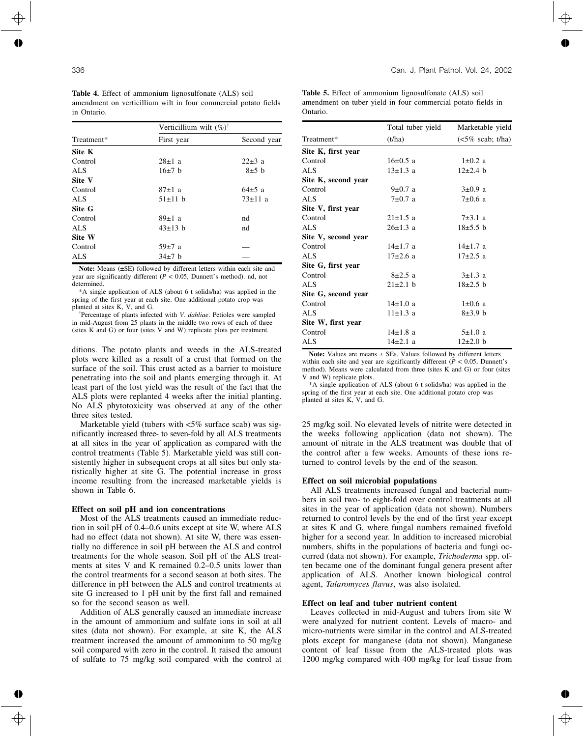**Table 4.** Effect of ammonium lignosulfonate (ALS) soil amendment on verticillium wilt in four commercial potato fields in Ontario.

|            | Verticillium wilt $(\%)^{\dagger}$ |               |
|------------|------------------------------------|---------------|
| Treatment* | First year                         | Second year   |
| Site K     |                                    |               |
| Control    | $28\pm1$ a                         | $22\pm3$ a    |
| <b>ALS</b> | $16\pm7$ b                         | $8\pm5$ b     |
| Site V     |                                    |               |
| Control    | $87±1$ a                           | $64\pm5$ a    |
| <b>ALS</b> | $51 \pm 11$ b                      | $73 \pm 11$ a |
| Site G     |                                    |               |
| Control    | $89±1$ a                           | nd            |
| <b>ALS</b> | $43 \pm 13$ b                      | nd            |
| Site W     |                                    |               |
| Control    | $59\pm7$ a                         |               |
| <b>ALS</b> | $34\pm7$ b                         |               |

**Note:** Means (±SE) followed by different letters within each site and year are significantly different (*P* < 0.05, Dunnett's method). nd, not determined.

\*A single application of ALS (about 6 t solids/ha) was applied in the spring of the first year at each site. One additional potato crop was planted at sites K, V, and G.

Percentage of plants infected with *V. dahliae*. Petioles were sampled in mid-August from 25 plants in the middle two rows of each of three (sites K and G) or four (sites V and W) replicate plots per treatment.

ditions. The potato plants and weeds in the ALS-treated plots were killed as a result of a crust that formed on the surface of the soil. This crust acted as a barrier to moisture penetrating into the soil and plants emerging through it. At least part of the lost yield was the result of the fact that the ALS plots were replanted 4 weeks after the initial planting. No ALS phytotoxicity was observed at any of the other three sites tested.

Marketable yield (tubers with <5% surface scab) was significantly increased three- to seven-fold by all ALS treatments at all sites in the year of application as compared with the control treatments (Table 5). Marketable yield was still consistently higher in subsequent crops at all sites but only statistically higher at site G. The potential increase in gross income resulting from the increased marketable yields is shown in Table 6.

#### **Effect on soil pH and ion concentrations**

Most of the ALS treatments caused an immediate reduction in soil pH of 0.4–0.6 units except at site W, where ALS had no effect (data not shown). At site W, there was essentially no difference in soil pH between the ALS and control treatments for the whole season. Soil pH of the ALS treatments at sites V and K remained 0.2–0.5 units lower than the control treatments for a second season at both sites. The difference in pH between the ALS and control treatments at site G increased to 1 pH unit by the first fall and remained so for the second season as well.

Addition of ALS generally caused an immediate increase in the amount of ammonium and sulfate ions in soil at all sites (data not shown). For example, at site K, the ALS treatment increased the amount of ammonium to 50 mg/kg soil compared with zero in the control. It raised the amount of sulfate to 75 mg/kg soil compared with the control at

| <b>Table 5.</b> Effect of ammonium lignosulfonate (ALS) soil |  |  |  |                                                              |  |  |  |
|--------------------------------------------------------------|--|--|--|--------------------------------------------------------------|--|--|--|
|                                                              |  |  |  | amendment on tuber yield in four commercial potato fields in |  |  |  |
| Ontario.                                                     |  |  |  |                                                              |  |  |  |

|                     | Total tuber yield | Marketable yield                                     |
|---------------------|-------------------|------------------------------------------------------|
| Treatment*          | (t/ha)            | $\left(\langle 5\% \text{ scab}; \text{t/ha}\right)$ |
| Site K, first year  |                   |                                                      |
| Control             | $16±0.5$ a        | $1\pm0.2$ a                                          |
| ALS.                | $13 \pm 1.3$ a    | $12\pm2.4$ h                                         |
| Site K, second year |                   |                                                      |
| Control             | $9 \pm 0.7 a$     | $3\pm0.9$ a                                          |
| ALS                 | $7\pm0.7$ a       | $7\pm0.6$ a                                          |
| Site V, first year  |                   |                                                      |
| Control             | $21 \pm 1.5$ a    | $7\pm3.1$ a                                          |
| <b>ALS</b>          | $26 \pm 1.3$ a    | $18\pm 5.5$ b                                        |
| Site V, second year |                   |                                                      |
| Control             | $14\pm 1.7$ a     | $14\pm 1.7$ a                                        |
| ALS.                | $17\pm2.6$ a      | $17\pm2.5$ a                                         |
| Site G, first year  |                   |                                                      |
| Control             | $8\pm2.5$ a       | $3 \pm 1.3$ a                                        |
| <b>ALS</b>          | $21 \pm 2.1$ h    | $18\pm2.5$ b                                         |
| Site G, second year |                   |                                                      |
| Control             | $14\pm1.0$ a      | $1\pm0.6$ a                                          |
| ALS.                | $11 \pm 1.3$ a    | 8±3.9 b                                              |
| Site W, first year  |                   |                                                      |
| Control             | $14\pm1.8$ a      | $5\pm1.0$ a                                          |
| ALS.                | $14\pm 2.1$ a     | $12\pm2.0$ b                                         |

Note: Values are means  $\pm$  SEs. Values followed by different letters within each site and year are significantly different ( $P < 0.05$ , Dunnett's method). Means were calculated from three (sites K and G) or four (sites V and W) replicate plots.

\*A single application of ALS (about 6 t solids/ha) was applied in the spring of the first year at each site. One additional potato crop was planted at sites K, V, and G.

25 mg/kg soil. No elevated levels of nitrite were detected in the weeks following application (data not shown). The amount of nitrate in the ALS treatment was double that of the control after a few weeks. Amounts of these ions returned to control levels by the end of the season.

## **Effect on soil microbial populations**

All ALS treatments increased fungal and bacterial numbers in soil two- to eight-fold over control treatments at all sites in the year of application (data not shown). Numbers returned to control levels by the end of the first year except at sites K and G, where fungal numbers remained fivefold higher for a second year. In addition to increased microbial numbers, shifts in the populations of bacteria and fungi occurred (data not shown). For example, *Trichoderma* spp. often became one of the dominant fungal genera present after application of ALS. Another known biological control agent, *Talaromyces flavus*, was also isolated.

## **Effect on leaf and tuber nutrient content**

Leaves collected in mid-August and tubers from site W were analyzed for nutrient content. Levels of macro- and micro-nutrients were similar in the control and ALS-treated plots except for manganese (data not shown). Manganese content of leaf tissue from the ALS-treated plots was 1200 mg/kg compared with 400 mg/kg for leaf tissue from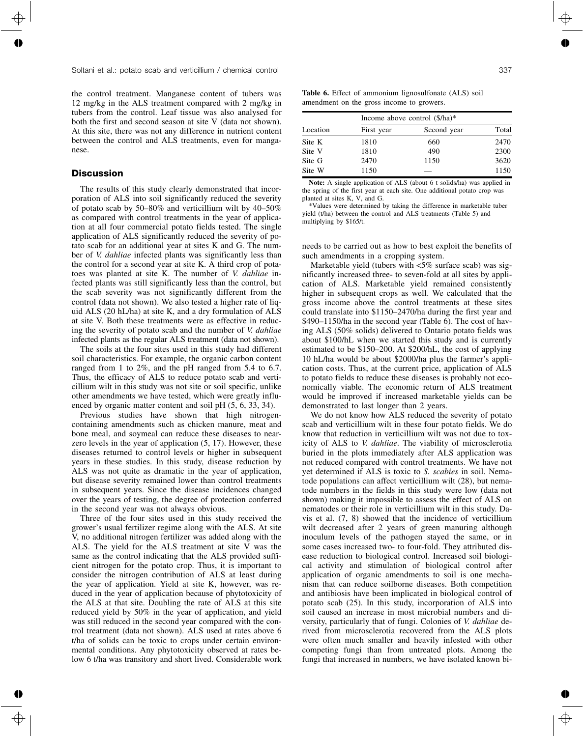the control treatment. Manganese content of tubers was 12 mg/kg in the ALS treatment compared with 2 mg/kg in tubers from the control. Leaf tissue was also analysed for both the first and second season at site V (data not shown). At this site, there was not any difference in nutrient content between the control and ALS treatments, even for manganese.

# **Discussion**

The results of this study clearly demonstrated that incorporation of ALS into soil significantly reduced the severity of potato scab by 50–80% and verticillium wilt by 40–50% as compared with control treatments in the year of application at all four commercial potato fields tested. The single application of ALS significantly reduced the severity of potato scab for an additional year at sites K and G. The number of *V. dahliae* infected plants was significantly less than the control for a second year at site K. A third crop of potatoes was planted at site K. The number of *V. dahliae* infected plants was still significantly less than the control, but the scab severity was not significantly different from the control (data not shown). We also tested a higher rate of liquid ALS (20 hL/ha) at site K, and a dry formulation of ALS at site V. Both these treatments were as effective in reducing the severity of potato scab and the number of *V. dahliae* infected plants as the regular ALS treatment (data not shown).

The soils at the four sites used in this study had different soil characteristics. For example, the organic carbon content ranged from 1 to 2%, and the pH ranged from 5.4 to 6.7. Thus, the efficacy of ALS to reduce potato scab and verticillium wilt in this study was not site or soil specific, unlike other amendments we have tested, which were greatly influenced by organic matter content and soil pH (5, 6, 33, 34).

Previous studies have shown that high nitrogencontaining amendments such as chicken manure, meat and bone meal, and soymeal can reduce these diseases to nearzero levels in the year of application (5, 17). However, these diseases returned to control levels or higher in subsequent years in these studies. In this study, disease reduction by ALS was not quite as dramatic in the year of application, but disease severity remained lower than control treatments in subsequent years. Since the disease incidences changed over the years of testing, the degree of protection conferred in the second year was not always obvious.

Three of the four sites used in this study received the grower's usual fertilizer regime along with the ALS. At site V, no additional nitrogen fertilizer was added along with the ALS. The yield for the ALS treatment at site V was the same as the control indicating that the ALS provided sufficient nitrogen for the potato crop. Thus, it is important to consider the nitrogen contribution of ALS at least during the year of application. Yield at site K, however, was reduced in the year of application because of phytotoxicity of the ALS at that site. Doubling the rate of ALS at this site reduced yield by 50% in the year of application, and yield was still reduced in the second year compared with the control treatment (data not shown). ALS used at rates above 6 t/ha of solids can be toxic to crops under certain environmental conditions. Any phytotoxicity observed at rates below 6 t/ha was transitory and short lived. Considerable work

**Table 6.** Effect of ammonium lignosulfonate (ALS) soil amendment on the gross income to growers.

| Location | Income above control $(\frac{5}{ha})^*$ |             |       |  |  |
|----------|-----------------------------------------|-------------|-------|--|--|
|          | First year                              | Second year | Total |  |  |
| Site K   | 1810                                    | 660         | 2470  |  |  |
| Site V   | 1810                                    | 490         | 2300  |  |  |
| Site G   | 2470                                    | 1150        | 3620  |  |  |
| Site W   | 1150                                    |             | 1150  |  |  |

**Note:** A single application of ALS (about 6 t solids/ha) was applied in the spring of the first year at each site. One additional potato crop was planted at sites K, V, and G.

\*Values were determined by taking the difference in marketable tuber yield (t/ha) between the control and ALS treatments (Table 5) and multiplying by \$165/t.

needs to be carried out as how to best exploit the benefits of such amendments in a cropping system.

Marketable yield (tubers with <5% surface scab) was significantly increased three- to seven-fold at all sites by application of ALS. Marketable yield remained consistently higher in subsequent crops as well. We calculated that the gross income above the control treatments at these sites could translate into \$1150–2470/ha during the first year and \$490–1150/ha in the second year (Table 6). The cost of having ALS (50% solids) delivered to Ontario potato fields was about \$100/hL when we started this study and is currently estimated to be \$150–200. At \$200/hL, the cost of applying 10 hL/ha would be about \$2000/ha plus the farmer's application costs. Thus, at the current price, application of ALS to potato fields to reduce these diseases is probably not economically viable. The economic return of ALS treatment would be improved if increased marketable yields can be demonstrated to last longer than 2 years.

We do not know how ALS reduced the severity of potato scab and verticillium wilt in these four potato fields. We do know that reduction in verticillium wilt was not due to toxicity of ALS to *V. dahliae*. The viability of microsclerotia buried in the plots immediately after ALS application was not reduced compared with control treatments. We have not yet determined if ALS is toxic to *S. scabies* in soil. Nematode populations can affect verticillium wilt (28), but nematode numbers in the fields in this study were low (data not shown) making it impossible to assess the effect of ALS on nematodes or their role in verticillium wilt in this study. Davis et al. (7, 8) showed that the incidence of verticillium wilt decreased after 2 years of green manuring although inoculum levels of the pathogen stayed the same, or in some cases increased two- to four-fold. They attributed disease reduction to biological control. Increased soil biological activity and stimulation of biological control after application of organic amendments to soil is one mechanism that can reduce soilborne diseases. Both competition and antibiosis have been implicated in biological control of potato scab (25). In this study, incorporation of ALS into soil caused an increase in most microbial numbers and diversity, particularly that of fungi. Colonies of *V. dahliae* derived from microsclerotia recovered from the ALS plots were often much smaller and heavily infested with other competing fungi than from untreated plots. Among the fungi that increased in numbers, we have isolated known bi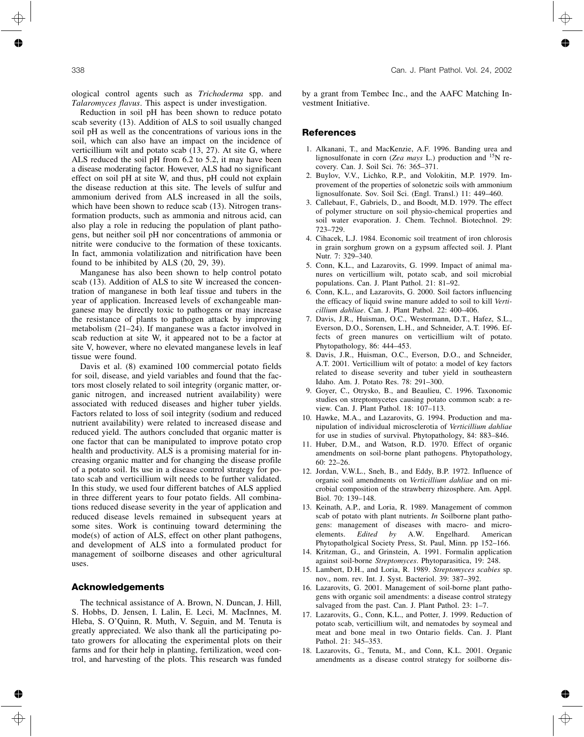ological control agents such as *Trichoderma* spp. and *Talaromyces flavus*. This aspect is under investigation.

Reduction in soil pH has been shown to reduce potato scab severity (13). Addition of ALS to soil usually changed soil pH as well as the concentrations of various ions in the soil, which can also have an impact on the incidence of verticillium wilt and potato scab (13, 27). At site G, where ALS reduced the soil pH from 6.2 to 5.2, it may have been a disease moderating factor. However, ALS had no significant effect on soil pH at site W, and thus, pH could not explain the disease reduction at this site. The levels of sulfur and ammonium derived from ALS increased in all the soils, which have been shown to reduce scab (13). Nitrogen transformation products, such as ammonia and nitrous acid, can also play a role in reducing the population of plant pathogens, but neither soil pH nor concentrations of ammonia or nitrite were conducive to the formation of these toxicants. In fact, ammonia volatilization and nitrification have been found to be inhibited by ALS (20, 29, 39).

Manganese has also been shown to help control potato scab (13). Addition of ALS to site W increased the concentration of manganese in both leaf tissue and tubers in the year of application. Increased levels of exchangeable manganese may be directly toxic to pathogens or may increase the resistance of plants to pathogen attack by improving metabolism (21–24). If manganese was a factor involved in scab reduction at site W, it appeared not to be a factor at site V, however, where no elevated manganese levels in leaf tissue were found.

Davis et al. (8) examined 100 commercial potato fields for soil, disease, and yield variables and found that the factors most closely related to soil integrity (organic matter, organic nitrogen, and increased nutrient availability) were associated with reduced diseases and higher tuber yields. Factors related to loss of soil integrity (sodium and reduced nutrient availability) were related to increased disease and reduced yield. The authors concluded that organic matter is one factor that can be manipulated to improve potato crop health and productivity. ALS is a promising material for increasing organic matter and for changing the disease profile of a potato soil. Its use in a disease control strategy for potato scab and verticillium wilt needs to be further validated. In this study, we used four different batches of ALS applied in three different years to four potato fields. All combinations reduced disease severity in the year of application and reduced disease levels remained in subsequent years at some sites. Work is continuing toward determining the mode(s) of action of ALS, effect on other plant pathogens, and development of ALS into a formulated product for management of soilborne diseases and other agricultural uses.

# **Acknowledgements**

The technical assistance of A. Brown, N. Duncan, J. Hill, S. Hobbs, D. Jensen, I. Lalin, E. Leci, M. MacInnes, M. Hleba, S. O'Quinn, R. Muth, V. Seguin, and M. Tenuta is greatly appreciated. We also thank all the participating potato growers for allocating the experimental plots on their farms and for their help in planting, fertilization, weed control, and harvesting of the plots. This research was funded by a grant from Tembec Inc., and the AAFC Matching Investment Initiative.

# **References**

- 1. Alkanani, T., and MacKenzie, A.F. 1996. Banding urea and lignosulfonate in corn (*Zea mays* L.) production and 15N recovery. Can. J. Soil Sci. 76: 365–371.
- 2. Buylov, V.V., Lichko, R.P., and Volokitin, M.P. 1979. Improvement of the properties of solonetzic soils with ammonium lignosulfonate. Sov. Soil Sci. (Engl. Transl.) 11: 449–460.
- 3. Callebaut, F., Gabriels, D., and Boodt, M.D. 1979. The effect of polymer structure on soil physio-chemical properties and soil water evaporation. J. Chem. Technol. Biotechnol. 29: 723–729.
- 4. Cihacek, L.J. 1984. Economic soil treatment of iron chlorosis in grain sorghum grown on a gypsum affected soil. J. Plant Nutr. 7: 329–340.
- 5. Conn, K.L., and Lazarovits, G. 1999. Impact of animal manures on verticillium wilt, potato scab, and soil microbial populations. Can. J. Plant Pathol. 21: 81–92.
- 6. Conn, K.L., and Lazarovits, G. 2000. Soil factors influencing the efficacy of liquid swine manure added to soil to kill *Verticillium dahliae*. Can. J. Plant Pathol. 22: 400–406.
- 7. Davis, J.R., Huisman, O.C., Westermann, D.T., Hafez, S.L., Everson, D.O., Sorensen, L.H., and Schneider, A.T. 1996. Effects of green manures on verticillium wilt of potato. Phytopathology, 86: 444–453.
- 8. Davis, J.R., Huisman, O.C., Everson, D.O., and Schneider, A.T. 2001. Verticillium wilt of potato: a model of key factors related to disease severity and tuber yield in southeastern Idaho. Am. J. Potato Res. 78: 291–300.
- 9. Goyer, C., Otrysko, B., and Beaulieu, C. 1996. Taxonomic studies on streptomycetes causing potato common scab: a review. Can. J. Plant Pathol. 18: 107–113.
- 10. Hawke, M.A., and Lazarovits, G. 1994. Production and manipulation of individual microsclerotia of *Verticillium dahliae* for use in studies of survival. Phytopathology, 84: 883–846.
- 11. Huber, D.M., and Watson, R.D. 1970. Effect of organic amendments on soil-borne plant pathogens. Phytopathology, 60: 22–26.
- 12. Jordan, V.W.L., Sneh, B., and Eddy, B.P. 1972. Influence of organic soil amendments on *Verticillium dahliae* and on microbial composition of the strawberry rhizosphere. Am. Appl. Biol. 70: 139–148.
- 13. Keinath, A.P., and Loria, R. 1989. Management of common scab of potato with plant nutrients. *In* Soilborne plant pathogens: management of diseases with macro- and microelements. *Edited by* A.W. Engelhard. American Phytopatholgical Society Press, St. Paul, Minn. pp 152–166.
- 14. Kritzman, G., and Grinstein, A. 1991. Formalin application against soil-borne *Streptomyces*. Phytoparasitica, 19: 248.
- 15. Lambert, D.H., and Loria, R. 1989. *Streptomyces scabies* sp. nov., nom. rev. Int. J. Syst. Bacteriol. 39: 387–392.
- 16. Lazarovits, G. 2001. Management of soil-borne plant pathogens with organic soil amendments: a disease control strategy salvaged from the past. Can. J. Plant Pathol. 23: 1–7.
- 17. Lazarovits, G., Conn, K.L., and Potter, J. 1999. Reduction of potato scab, verticillium wilt, and nematodes by soymeal and meat and bone meal in two Ontario fields. Can. J. Plant Pathol. 21: 345–353.
- 18. Lazarovits, G., Tenuta, M., and Conn, K.L. 2001. Organic amendments as a disease control strategy for soilborne dis-